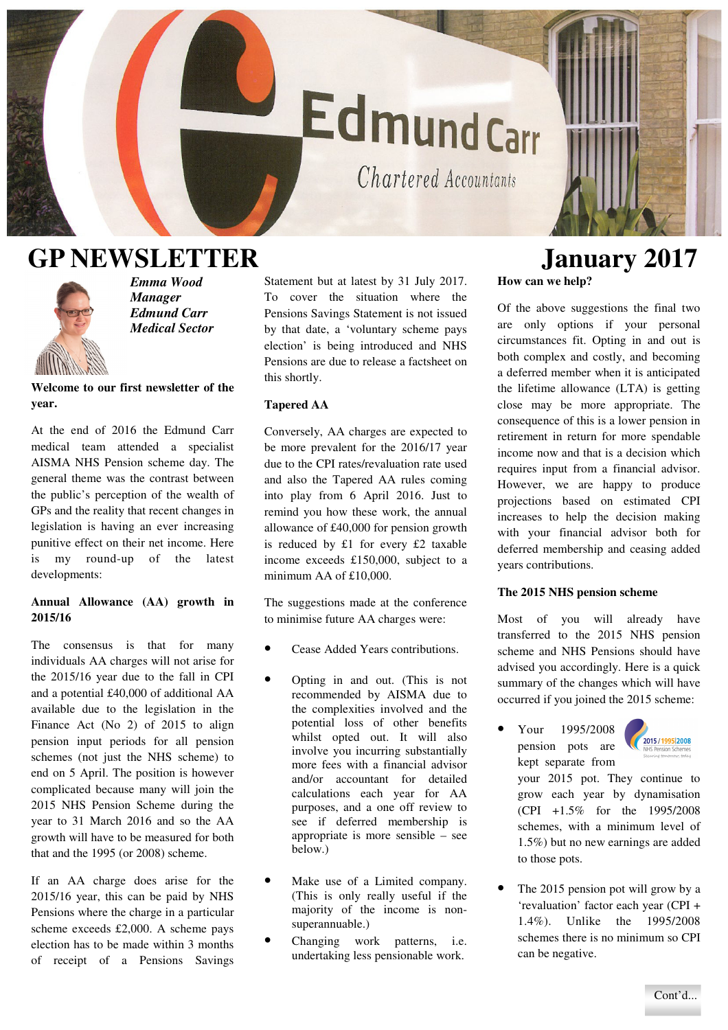# EdmundCarr

Chartered Accountants

### **GP NEWSLETTER January 2017**



*Emma Wood Manager Edmund Carr Medical Sector* 

**Welcome to our first newsletter of the year.** 

At the end of 2016 the Edmund Carr medical team attended a specialist AISMA NHS Pension scheme day. The general theme was the contrast between the public's perception of the wealth of GPs and the reality that recent changes in legislation is having an ever increasing punitive effect on their net income. Here is my round-up of the latest developments:

#### **Annual Allowance (AA) growth in 2015/16**

The consensus is that for many individuals AA charges will not arise for the 2015/16 year due to the fall in CPI and a potential £40,000 of additional AA available due to the legislation in the Finance Act (No 2) of 2015 to align pension input periods for all pension schemes (not just the NHS scheme) to end on 5 April. The position is however complicated because many will join the 2015 NHS Pension Scheme during the year to 31 March 2016 and so the AA growth will have to be measured for both that and the 1995 (or 2008) scheme.

If an AA charge does arise for the 2015/16 year, this can be paid by NHS Pensions where the charge in a particular scheme exceeds £2,000. A scheme pays election has to be made within 3 months of receipt of a Pensions Savings

Statement but at latest by 31 July 2017. To cover the situation where the Pensions Savings Statement is not issued by that date, a 'voluntary scheme pays election' is being introduced and NHS Pensions are due to release a factsheet on this shortly.

#### **Tapered AA**

Conversely, AA charges are expected to be more prevalent for the 2016/17 year due to the CPI rates/revaluation rate used and also the Tapered AA rules coming into play from 6 April 2016. Just to remind you how these work, the annual allowance of £40,000 for pension growth is reduced by £1 for every £2 taxable income exceeds £150,000, subject to a minimum AA of £10,000.

The suggestions made at the conference to minimise future AA charges were:

- Cease Added Years contributions.
- Opting in and out. (This is not recommended by AISMA due to the complexities involved and the potential loss of other benefits whilst opted out. It will also involve you incurring substantially more fees with a financial advisor and/or accountant for detailed calculations each year for AA purposes, and a one off review to see if deferred membership is appropriate is more sensible – see below.)
- Make use of a Limited company. (This is only really useful if the majority of the income is nonsuperannuable.)
- Changing work patterns, i.e. undertaking less pensionable work.

## **How can we help?**

Of the above suggestions the final two are only options if your personal circumstances fit. Opting in and out is both complex and costly, and becoming a deferred member when it is anticipated the lifetime allowance (LTA) is getting close may be more appropriate. The consequence of this is a lower pension in retirement in return for more spendable income now and that is a decision which requires input from a financial advisor. However, we are happy to produce projections based on estimated CPI increases to help the decision making with your financial advisor both for deferred membership and ceasing added years contributions.

#### **The 2015 NHS pension scheme**

Most of you will already have transferred to the 2015 NHS pension scheme and NHS Pensions should have advised you accordingly. Here is a quick summary of the changes which will have occurred if you joined the 2015 scheme:

• Your 1995/2008 pension pots are kept separate from



your 2015 pot. They continue to grow each year by dynamisation (CPI +1.5% for the 1995/2008 schemes, with a minimum level of 1.5%) but no new earnings are added to those pots.

The 2015 pension pot will grow by a 'revaluation' factor each year (CPI + 1.4%). Unlike the 1995/2008 schemes there is no minimum so CPI can be negative.